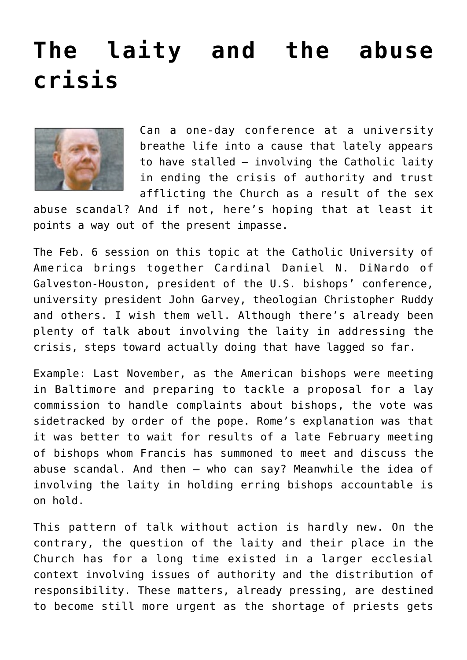## **[The laity and the abuse](https://www.osvnews.com/2019/01/31/the-laity-and-the-abuse-crisis/) [crisis](https://www.osvnews.com/2019/01/31/the-laity-and-the-abuse-crisis/)**



Can a one-day conference at a university breathe life into a cause that lately appears to have stalled — involving the Catholic laity in ending the crisis of authority and trust afflicting the Church as a result of the sex

abuse scandal? And if not, here's hoping that at least it points a way out of the present impasse.

The Feb. 6 session on this topic at the Catholic University of America brings together Cardinal Daniel N. DiNardo of Galveston-Houston, president of the U.S. bishops' conference, university president John Garvey, theologian Christopher Ruddy and others. I wish them well. Although there's already been plenty of talk about involving the laity in addressing the crisis, steps toward actually doing that have lagged so far.

Example: Last November, as the American bishops were meeting in Baltimore and preparing to tackle a proposal for a lay commission to handle complaints about bishops, the vote was sidetracked by order of the pope. Rome's explanation was that it was better to wait for results of a late February meeting of bishops whom Francis has summoned to meet and discuss the abuse scandal. And then — who can say? Meanwhile the idea of involving the laity in holding erring bishops accountable is on hold.

This pattern of talk without action is hardly new. On the contrary, the question of the laity and their place in the Church has for a long time existed in a larger ecclesial context involving issues of authority and the distribution of responsibility. These matters, already pressing, are destined to become still more urgent as the shortage of priests gets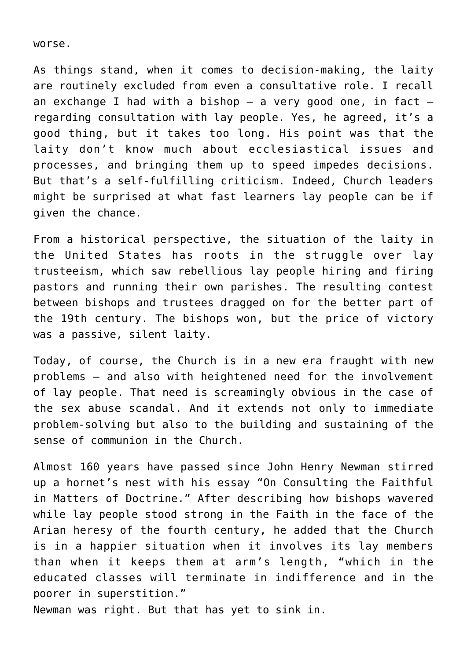worse.

As things stand, when it comes to decision-making, the laity are routinely excluded from even a consultative role. I recall an exchange I had with a bishop  $-$  a very good one, in fact  $$ regarding consultation with lay people. Yes, he agreed, it's a good thing, but it takes too long. His point was that the laity don't know much about ecclesiastical issues and processes, and bringing them up to speed impedes decisions. But that's a self-fulfilling criticism. Indeed, Church leaders might be surprised at what fast learners lay people can be if given the chance.

From a historical perspective, the situation of the laity in the United States has roots in the struggle over lay trusteeism, which saw rebellious lay people hiring and firing pastors and running their own parishes. The resulting contest between bishops and trustees dragged on for the better part of the 19th century. The bishops won, but the price of victory was a passive, silent laity.

Today, of course, the Church is in a new era fraught with new problems — and also with heightened need for the involvement of lay people. That need is screamingly obvious in the case of the sex abuse scandal. And it extends not only to immediate problem-solving but also to the building and sustaining of the sense of communion in the Church.

Almost 160 years have passed since John Henry Newman stirred up a hornet's nest with his essay "On Consulting the Faithful in Matters of Doctrine." After describing how bishops wavered while lay people stood strong in the Faith in the face of the Arian heresy of the fourth century, he added that the Church is in a happier situation when it involves its lay members than when it keeps them at arm's length, "which in the educated classes will terminate in indifference and in the poorer in superstition."

Newman was right. But that has yet to sink in.